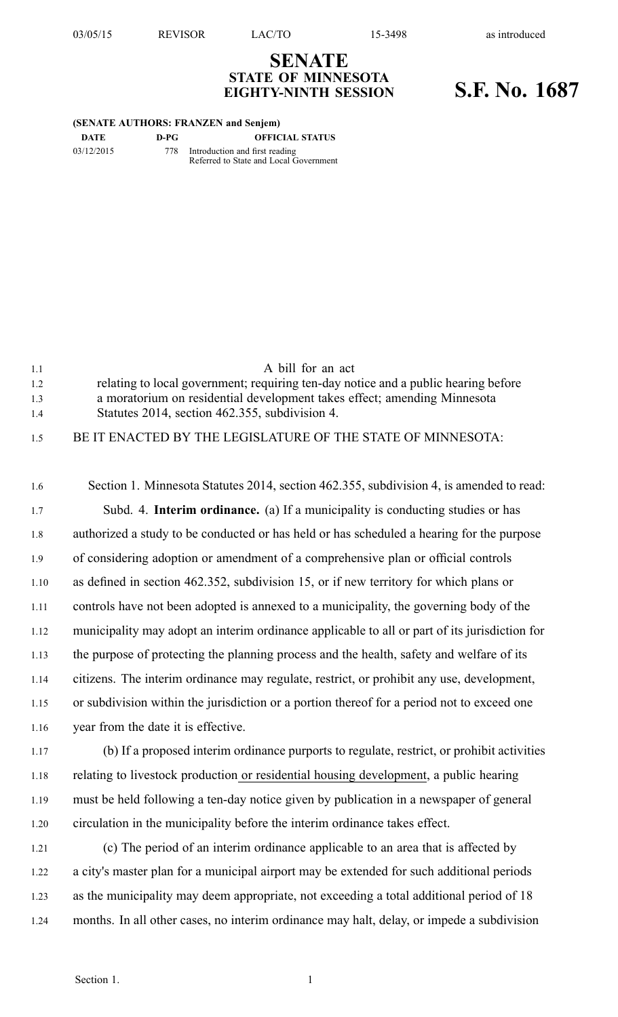## **SENATE STATE OF MINNESOTA EIGHTY-NINTH SESSION S.F. No. 1687**

## **(SENATE AUTHORS: FRANZEN and Senjem)**

| DATE       | D-PG | <b>OFFICIAL STATUS</b>                                                       |
|------------|------|------------------------------------------------------------------------------|
| 03/12/2015 |      | 778 Introduction and first reading<br>Referred to State and Local Government |

| 1.1 | A bill for an act                                                                  |
|-----|------------------------------------------------------------------------------------|
| 1.2 | relating to local government; requiring ten-day notice and a public hearing before |
| 1.3 | a moratorium on residential development takes effect; amending Minnesota           |
| 14  | Statutes 2014, section 462.355, subdivision 4.                                     |
|     |                                                                                    |

## 1.5 BE IT ENACTED BY THE LEGISLATURE OF THE STATE OF MINNESOTA:

| 1.6  | Section 1. Minnesota Statutes 2014, section 462.355, subdivision 4, is amended to read:       |
|------|-----------------------------------------------------------------------------------------------|
| 1.7  | Subd. 4. Interim ordinance. (a) If a municipality is conducting studies or has                |
| 1.8  | authorized a study to be conducted or has held or has scheduled a hearing for the purpose     |
| 1.9  | of considering adoption or amendment of a comprehensive plan or official controls             |
| 1.10 | as defined in section 462.352, subdivision 15, or if new territory for which plans or         |
| 1.11 | controls have not been adopted is annexed to a municipality, the governing body of the        |
| 1.12 | municipality may adopt an interim ordinance applicable to all or part of its jurisdiction for |
| 1.13 | the purpose of protecting the planning process and the health, safety and welfare of its      |
| 1.14 | citizens. The interim ordinance may regulate, restrict, or prohibit any use, development,     |
| 1.15 | or subdivision within the jurisdiction or a portion thereof for a period not to exceed one    |
| 1.16 | year from the date it is effective.                                                           |
| 1.17 | (b) If a proposed interim ordinance purports to regulate, restrict, or prohibit activities    |
| 1.18 | relating to livestock production or residential housing development, a public hearing         |
| 1.19 | must be held following a ten-day notice given by publication in a newspaper of general        |
| 1.20 | circulation in the municipality before the interim ordinance takes effect.                    |
| 1.21 | (c) The period of an interim ordinance applicable to an area that is affected by              |
| 1.22 | a city's master plan for a municipal airport may be extended for such additional periods      |
| 1.23 | as the municipality may deem appropriate, not exceeding a total additional period of 18       |